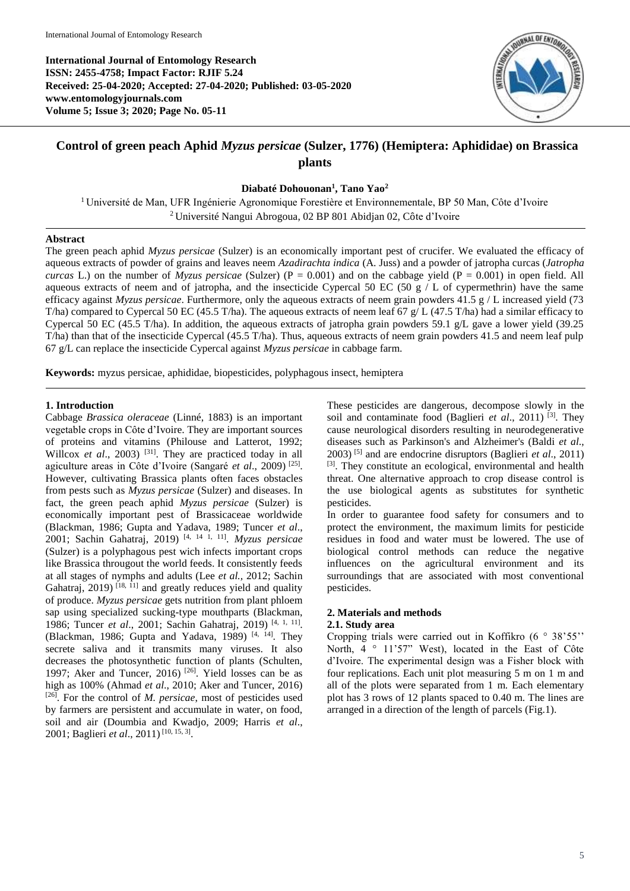**International Journal of Entomology Research ISSN: 2455-4758; Impact Factor: RJIF 5.24 Received: 25-04-2020; Accepted: 27-04-2020; Published: 03-05-2020 www.entomologyjournals.com Volume 5; Issue 3; 2020; Page No. 05-11**



# **Control of green peach Aphid** *Myzus persicae* **(Sulzer, 1776) (Hemiptera: Aphididae) on Brassica plants**

**Diabaté Dohouonan<sup>1</sup> , Tano Yao<sup>2</sup>**

<sup>1</sup> Université de Man, UFR Ingénierie Agronomique Forestière et Environnementale, BP 50 Man, Côte d'Ivoire <sup>2</sup> Université Nangui Abrogoua, 02 BP 801 Abidjan 02, Côte d'Ivoire

## **Abstract**

The green peach aphid *Myzus persicae* (Sulzer) is an economically important pest of crucifer. We evaluated the efficacy of aqueous extracts of powder of grains and leaves neem *Azadirachta indica* (A. Juss) and a powder of jatropha curcas (*Jatropha curcas* L.) on the number of *Myzus persicae* (Sulzer) ( $P = 0.001$ ) and on the cabbage yield ( $P = 0.001$ ) in open field. All aqueous extracts of neem and of jatropha, and the insecticide Cypercal 50 EC (50 g / L of cypermethrin) have the same efficacy against *Myzus persicae*. Furthermore, only the aqueous extracts of neem grain powders 41.5 g / L increased yield (73 T/ha) compared to Cypercal 50 EC (45.5 T/ha). The aqueous extracts of neem leaf 67 g/ L (47.5 T/ha) had a similar efficacy to Cypercal 50 EC (45.5 T/ha). In addition, the aqueous extracts of jatropha grain powders 59.1 g/L gave a lower yield (39.25 T/ha) than that of the insecticide Cypercal (45.5 T/ha). Thus, aqueous extracts of neem grain powders 41.5 and neem leaf pulp 67 g/L can replace the insecticide Cypercal against *Myzus persicae* in cabbage farm.

**Keywords:** myzus persicae, aphididae, biopesticides, polyphagous insect, hemiptera

## **1. Introduction**

Cabbage *Brassica oleraceae* (Linné, 1883) is an important vegetable crops in Côte d'Ivoire. They are important sources of proteins and vitamins (Philouse and Latterot, 1992; Willcox *et al.*, 2003)<sup>[31]</sup>. They are practiced today in all agiculture areas in Côte d'Ivoire (Sangaré *et al*., 2009) [25] . However, cultivating Brassica plants often faces obstacles from pests such as *Myzus persicae* (Sulzer) and diseases. In fact, the green peach aphid *Myzus persicae* (Sulzer) is economically important pest of Brassicaceae worldwide (Blackman, 1986; Gupta and Yadava, 1989; Tuncer *et al*., 2001; Sachin Gahatraj, 2019) [4, 14 1, 11] . *Myzus persicae*  (Sulzer) is a polyphagous pest wich infects important crops like Brassica througout the world feeds. It consistently feeds at all stages of nymphs and adults (Lee *et al.,* 2012; Sachin Gahatraj,  $2019$ <sup>[18, 11]</sup> and greatly reduces yield and quality of produce. *Myzus persicae* gets nutrition from plant phloem sap using specialized sucking-type mouthparts (Blackman, 1986; Tuncer *et al*., 2001; Sachin Gahatraj, 2019) [4, 1, 11] . (Blackman, 1986; Gupta and Yadava, 1989)  $[4, 14]$ . They secrete saliva and it transmits many viruses. It also decreases the photosynthetic function of plants (Schulten, 1997; Aker and Tuncer, 2016)  $[26]$ . Yield losses can be as high as 100% (Ahmad *et al*., 2010; Aker and Tuncer, 2016) [26] . For the control of *M. persicae*, most of pesticides used by farmers are persistent and accumulate in water, on food, soil and air (Doumbia and Kwadjo, 2009; Harris *et al*., 2001; Baglieri *et al*., 2011) [10, 15, 3] .

These pesticides are dangerous, decompose slowly in the soil and contaminate food (Baglieri *et al.*, 2011)<sup>[3]</sup>. They cause neurological disorders resulting in neurodegenerative diseases such as Parkinson's and Alzheimer's (Baldi *et al*., 2003) <sup>[5]</sup> and are endocrine disruptors (Baglieri *et al.*, 2011) [3]. They constitute an ecological, environmental and health threat. One alternative approach to crop disease control is the use biological agents as substitutes for synthetic pesticides.

In order to guarantee food safety for consumers and to protect the environment, the maximum limits for pesticide residues in food and water must be lowered. The use of biological control methods can reduce the negative influences on the agricultural environment and its surroundings that are associated with most conventional pesticides.

# **2. Materials and methods**

# **2.1. Study area**

Cropping trials were carried out in Koffikro (6 ° 38'55'' North, 4 ° 11'57" West), located in the East of Côte d'Ivoire. The experimental design was a Fisher block with four replications. Each unit plot measuring 5 m on 1 m and all of the plots were separated from 1 m. Each elementary plot has 3 rows of 12 plants spaced to 0.40 m. The lines are arranged in a direction of the length of parcels (Fig.1).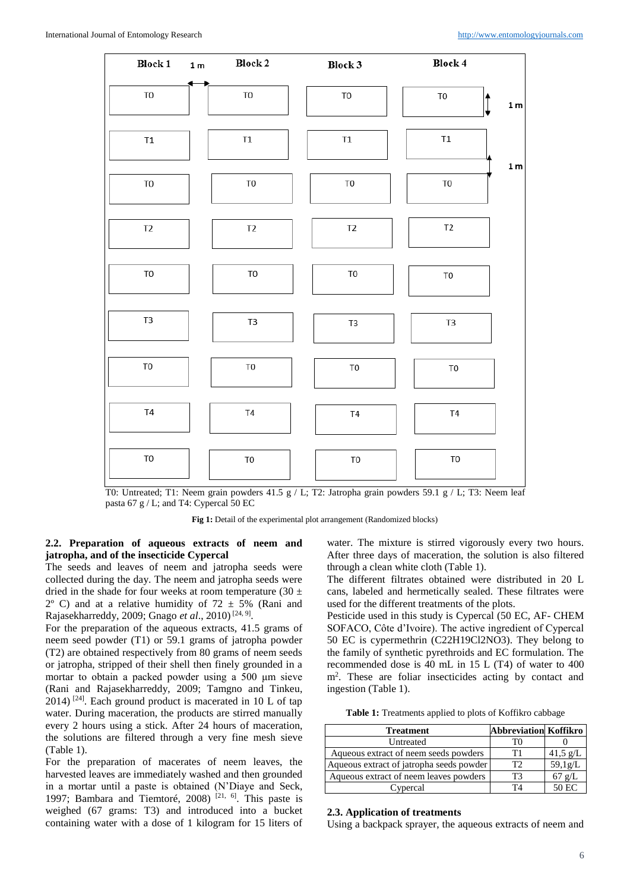

T0: Untreated; T1: Neem grain powders 41.5 g / L; T2: Jatropha grain powders 59.1 g / L; T3: Neem leaf pasta 67 g / L; and T4: Cypercal 50 EC

Fig 1: Detail of the experimental plot arrangement (Randomized blocks)

## **2.2. Preparation of aqueous extracts of neem and jatropha, and of the insecticide Cypercal**

The seeds and leaves of neem and jatropha seeds were collected during the day. The neem and jatropha seeds were dried in the shade for four weeks at room temperature (30  $\pm$  $2^{\circ}$  C) and at a relative humidity of  $72 \pm 5\%$  (Rani and Rajasekharreddy, 2009; Gnago et al., 2010)<sup>[24, 9]</sup>.

For the preparation of the aqueous extracts, 41.5 grams of neem seed powder (T1) or 59.1 grams of jatropha powder (T2) are obtained respectively from 80 grams of neem seeds or jatropha, stripped of their shell then finely grounded in a mortar to obtain a packed powder using a 500 μm sieve (Rani and Rajasekharreddy, 2009; Tamgno and Tinkeu,  $2014$ ) <sup>[24]</sup>. Each ground product is macerated in 10 L of tap water. During maceration, the products are stirred manually every 2 hours using a stick. After 24 hours of maceration, the solutions are filtered through a very fine mesh sieve (Table 1).

For the preparation of macerates of neem leaves, the harvested leaves are immediately washed and then grounded in a mortar until a paste is obtained (N'Diaye and Seck, 1997; Bambara and Tiemtoré, 2008)  $[21, 6]$ . This paste is weighed (67 grams: T3) and introduced into a bucket containing water with a dose of 1 kilogram for 15 liters of

water. The mixture is stirred vigorously every two hours. After three days of maceration, the solution is also filtered through a clean white cloth (Table 1).

The different filtrates obtained were distributed in 20 L cans, labeled and hermetically sealed. These filtrates were used for the different treatments of the plots.

Pesticide used in this study is Cypercal (50 EC, AF- CHEM SOFACO, Côte d'Ivoire). The active ingredient of Cypercal 50 EC is cypermethrin (C22H19Cl2NO3). They belong to the family of synthetic pyrethroids and EC formulation. The recommended dose is 40 mL in 15 L (T4) of water to 400 m<sup>2</sup> . These are foliar insecticides acting by contact and ingestion (Table 1).

**Table 1:** Treatments applied to plots of Koffikro cabbage

| <b>Treatment</b>                         | <b>Abbreviation Koffikro</b> |                    |
|------------------------------------------|------------------------------|--------------------|
| Untreated                                |                              |                    |
| Aqueous extract of neem seeds powders    | T1                           | $41,5 \text{ g/L}$ |
| Aqueous extract of jatropha seeds powder |                              | 59,1g/L            |
| Aqueous extract of neem leaves powders   | ТЗ                           | $67 \text{ g/L}$   |
| Cypercal                                 | T4                           | 50 EC              |

#### **2.3. Application of treatments**

Using a backpack sprayer, the aqueous extracts of neem and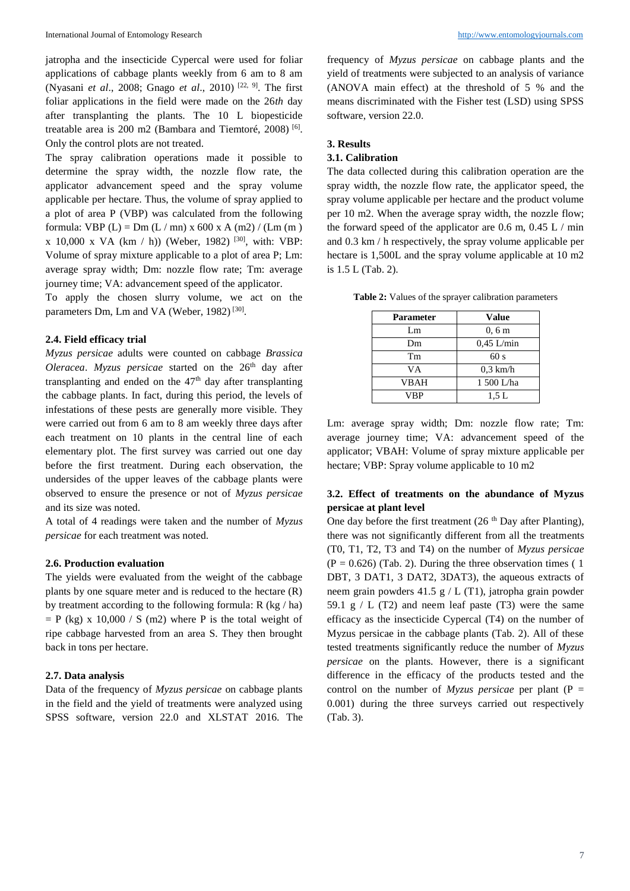jatropha and the insecticide Cypercal were used for foliar applications of cabbage plants weekly from 6 am to 8 am (Nyasani *et al*., 2008; Gnago *et al*., 2010) [22, 9]. The first foliar applications in the field were made on the 26*th* day after transplanting the plants. The 10 L biopesticide treatable area is 200 m2 (Bambara and Tiemtoré, 2008) <sup>[6]</sup>. Only the control plots are not treated.

The spray calibration operations made it possible to determine the spray width, the nozzle flow rate, the applicator advancement speed and the spray volume applicable per hectare. Thus, the volume of spray applied to a plot of area P (VBP) was calculated from the following formula: VBP (L) = Dm (L / mn) x 600 x A (m2) / (Lm (m) x 10,000 x VA (km / h)) (Weber, 1982) [30], with: VBP: Volume of spray mixture applicable to a plot of area P; Lm: average spray width; Dm: nozzle flow rate; Tm: average journey time; VA: advancement speed of the applicator.

To apply the chosen slurry volume, we act on the parameters Dm, Lm and VA (Weber, 1982)<sup>[30]</sup>.

#### **2.4. Field efficacy trial**

*Myzus persicae* adults were counted on cabbage *Brassica Oleracea. Myzus persicae* started on the 26<sup>th</sup> day after transplanting and ended on the  $47<sup>th</sup>$  day after transplanting the cabbage plants. In fact, during this period, the levels of infestations of these pests are generally more visible. They were carried out from 6 am to 8 am weekly three days after each treatment on 10 plants in the central line of each elementary plot. The first survey was carried out one day before the first treatment. During each observation, the undersides of the upper leaves of the cabbage plants were observed to ensure the presence or not of *Myzus persicae* and its size was noted.

A total of 4 readings were taken and the number of *Myzus persicae* for each treatment was noted.

#### **2.6. Production evaluation**

The yields were evaluated from the weight of the cabbage plants by one square meter and is reduced to the hectare (R) by treatment according to the following formula: R (kg / ha)  $=$  P (kg) x 10,000 / S (m2) where P is the total weight of ripe cabbage harvested from an area S. They then brought back in tons per hectare.

## **2.7. Data analysis**

Data of the frequency of *Myzus persicae* on cabbage plants in the field and the yield of treatments were analyzed using SPSS software, version 22.0 and XLSTAT 2016. The

frequency of *Myzus persicae* on cabbage plants and the yield of treatments were subjected to an analysis of variance (ANOVA main effect) at the threshold of 5 % and the means discriminated with the Fisher test (LSD) using SPSS software, version 22.0.

### **3. Results**

# **3.1. Calibration**

The data collected during this calibration operation are the spray width, the nozzle flow rate, the applicator speed, the spray volume applicable per hectare and the product volume per 10 m2. When the average spray width, the nozzle flow; the forward speed of the applicator are  $0.6$  m,  $0.45$  L / min and 0.3 km / h respectively, the spray volume applicable per hectare is 1,500L and the spray volume applicable at 10 m2 is 1.5 L (Tab. 2).

| <b>Parameter</b> | <b>Value</b> |  |
|------------------|--------------|--|
| Lm.              | 0, 6m        |  |
| Dm               | $0.45$ L/min |  |
| Tm               | 60s          |  |
| VА               | $0.3$ km/h   |  |
| <b>VBAH</b>      | 1 500 L/ha   |  |
| VBP              | 1.5L         |  |

**Table 2:** Values of the sprayer calibration parameters

Lm: average spray width; Dm: nozzle flow rate; Tm: average journey time; VA: advancement speed of the applicator; VBAH: Volume of spray mixture applicable per hectare; VBP: Spray volume applicable to 10 m2

# **3.2. Effect of treatments on the abundance of Myzus persicae at plant level**

One day before the first treatment  $(26<sup>th</sup>$  Day after Planting), there was not significantly different from all the treatments (T0, T1, T2, T3 and T4) on the number of *Myzus persicae*  $(P = 0.626)$  (Tab. 2). During the three observation times (1) DBT, 3 DAT1, 3 DAT2, 3DAT3), the aqueous extracts of neem grain powders 41.5 g / L (T1), jatropha grain powder 59.1 g  $/L$  (T2) and neem leaf paste (T3) were the same efficacy as the insecticide Cypercal (T4) on the number of Myzus persicae in the cabbage plants (Tab. 2). All of these tested treatments significantly reduce the number of *Myzus persicae* on the plants. However, there is a significant difference in the efficacy of the products tested and the control on the number of  $Myzus$  *persicae* per plant (P = 0.001) during the three surveys carried out respectively (Tab. 3).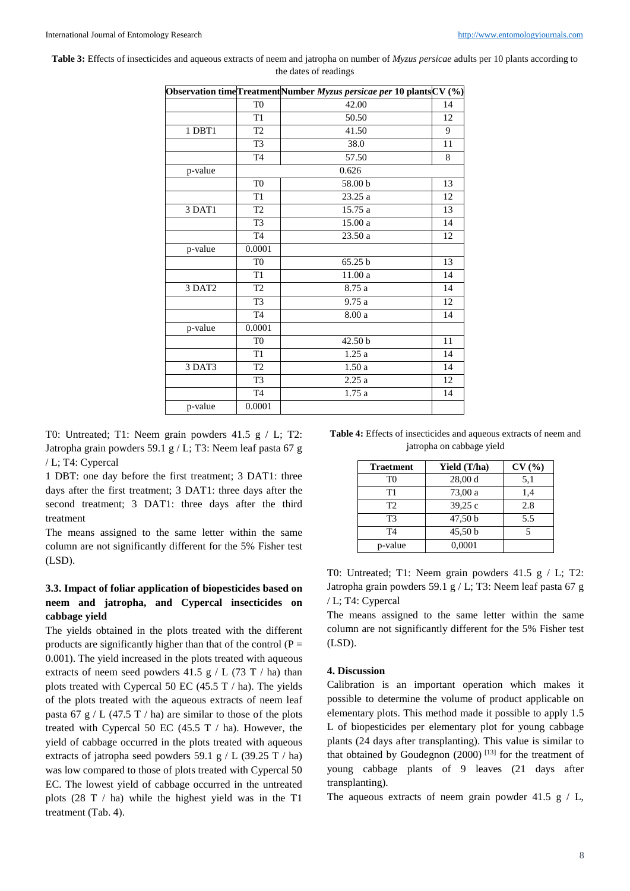| <b>Table 3:</b> Effects of insecticides and aqueous extracts of neem and jatropha on number of <i>Myzus persicae</i> adults per 10 plants according to |
|--------------------------------------------------------------------------------------------------------------------------------------------------------|
| the dates of readings                                                                                                                                  |

|         |                 | Observation time Treatment Number Myzus persicae per 10 plants $CV(%)$ |    |
|---------|-----------------|------------------------------------------------------------------------|----|
|         | T <sub>0</sub>  | 42.00                                                                  | 14 |
|         | T <sub>1</sub>  | 50.50                                                                  | 12 |
| 1 DBT1  | T <sub>2</sub>  | 41.50                                                                  | 9  |
|         | T <sub>3</sub>  | 38.0                                                                   | 11 |
|         | T <sub>4</sub>  | 57.50                                                                  | 8  |
| p-value |                 | 0.626                                                                  |    |
|         | T <sub>0</sub>  | 58.00 b                                                                | 13 |
|         | T <sub>1</sub>  | 23.25 a                                                                | 12 |
| 3 DAT1  | T <sub>2</sub>  | 15.75 a                                                                | 13 |
|         | T <sub>3</sub>  | 15.00 a                                                                | 14 |
|         | T <sub>4</sub>  | 23.50 a                                                                | 12 |
| p-value | 0.0001          |                                                                        |    |
|         | T <sub>0</sub>  | 65.25 b                                                                | 13 |
|         | T1              | $11.00\ a$                                                             | 14 |
| 3 DAT2  | $\overline{T2}$ | 8.75a                                                                  | 14 |
|         | $\overline{T3}$ | 9.75 a                                                                 | 12 |
|         | $\overline{T4}$ | 8.00 a                                                                 | 14 |
| p-value | 0.0001          |                                                                        |    |
|         | T <sub>0</sub>  | 42.50 b                                                                | 11 |
|         | T <sub>1</sub>  | 1.25a                                                                  | 14 |
| 3 DAT3  | $\overline{T2}$ | 1.50a                                                                  | 14 |
|         | T <sub>3</sub>  | 2.25a                                                                  | 12 |
|         | T <sub>4</sub>  | 1.75a                                                                  | 14 |
| p-value | 0.0001          |                                                                        |    |

T0: Untreated; T1: Neem grain powders 41.5 g / L; T2: Jatropha grain powders 59.1 g / L; T3: Neem leaf pasta 67 g / L; T4: Cypercal

1 DBT: one day before the first treatment; 3 DAT1: three days after the first treatment; 3 DAT1: three days after the second treatment; 3 DAT1: three days after the third treatment

The means assigned to the same letter within the same column are not significantly different for the 5% Fisher test (LSD).

# **3.3. Impact of foliar application of biopesticides based on neem and jatropha, and Cypercal insecticides on cabbage yield**

The yields obtained in the plots treated with the different products are significantly higher than that of the control  $(P =$ 0.001). The yield increased in the plots treated with aqueous extracts of neem seed powders  $41.5$  g / L (73 T / ha) than plots treated with Cypercal 50 EC (45.5 T / ha). The yields of the plots treated with the aqueous extracts of neem leaf pasta 67 g / L (47.5 T / ha) are similar to those of the plots treated with Cypercal 50 EC (45.5 T  $/$  ha). However, the yield of cabbage occurred in the plots treated with aqueous extracts of jatropha seed powders 59.1 g / L (39.25 T / ha) was low compared to those of plots treated with Cypercal 50 EC. The lowest yield of cabbage occurred in the untreated plots (28 T / ha) while the highest yield was in the T1 treatment (Tab. 4).

**Table 4:** Effects of insecticides and aqueous extracts of neem and jatropha on cabbage yield

| <b>Traetment</b> | Yield (T/ha) | CV(%) |
|------------------|--------------|-------|
| T <sub>0</sub>   | 28,00 d      | 5,1   |
| Τ1               | 73,00 a      | 1,4   |
| T2               | 39,25 c      | 2.8   |
| T3               | 47,50 b      | 5.5   |
| T4               | 45,50 b      |       |
| p-value          | 0,0001       |       |

T0: Untreated; T1: Neem grain powders 41.5 g / L; T2: Jatropha grain powders 59.1 g / L; T3: Neem leaf pasta 67 g / L; T4: Cypercal

The means assigned to the same letter within the same column are not significantly different for the 5% Fisher test (LSD).

### **4. Discussion**

Calibration is an important operation which makes it possible to determine the volume of product applicable on elementary plots. This method made it possible to apply 1.5 L of biopesticides per elementary plot for young cabbage plants (24 days after transplanting). This value is similar to that obtained by Goudegnon  $(2000)$ <sup>[13]</sup> for the treatment of young cabbage plants of 9 leaves (21 days after transplanting).

The aqueous extracts of neem grain powder 41.5 g  $/$  L,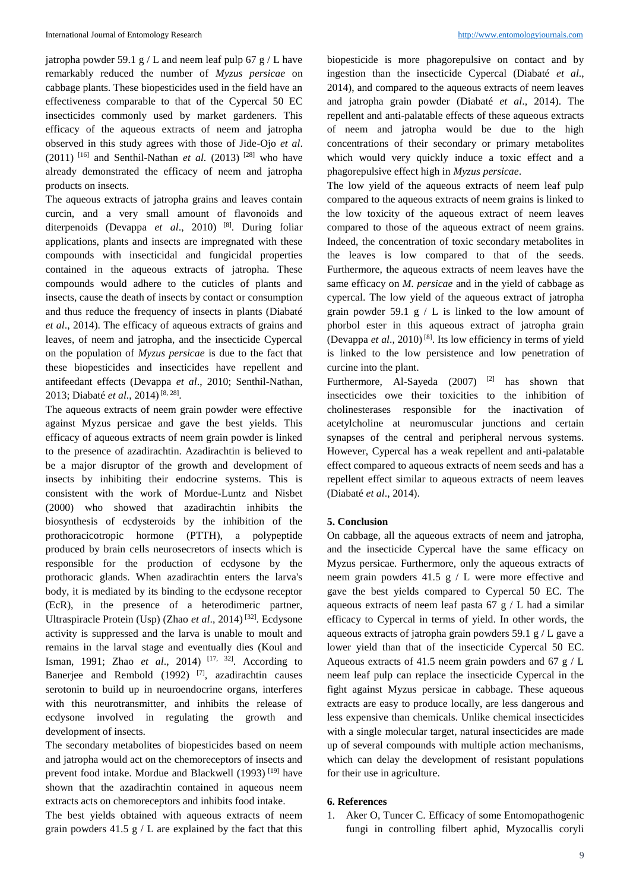jatropha powder 59.1 g / L and neem leaf pulp 67 g / L have remarkably reduced the number of *Myzus persicae* on cabbage plants. These biopesticides used in the field have an effectiveness comparable to that of the Cypercal 50 EC insecticides commonly used by market gardeners. This efficacy of the aqueous extracts of neem and jatropha observed in this study agrees with those of Jide-Ojo *et al*. (2011) <sup>[16]</sup> and Senthil-Nathan *et al.* (2013) <sup>[28]</sup> who have already demonstrated the efficacy of neem and jatropha products on insects.

The aqueous extracts of jatropha grains and leaves contain curcin, and a very small amount of flavonoids and diterpenoids (Devappa *et al*., 2010) [8]. During foliar applications, plants and insects are impregnated with these compounds with insecticidal and fungicidal properties contained in the aqueous extracts of jatropha. These compounds would adhere to the cuticles of plants and insects, cause the death of insects by contact or consumption and thus reduce the frequency of insects in plants (Diabaté *et al*., 2014). The efficacy of aqueous extracts of grains and leaves, of neem and jatropha, and the insecticide Cypercal on the population of *Myzus persicae* is due to the fact that these biopesticides and insecticides have repellent and antifeedant effects (Devappa *et al*., 2010; Senthil-Nathan, 2013; Diabaté *et al*., 2014) [8, 28] .

The aqueous extracts of neem grain powder were effective against Myzus persicae and gave the best yields. This efficacy of aqueous extracts of neem grain powder is linked to the presence of azadirachtin. Azadirachtin is believed to be a major disruptor of the growth and development of insects by inhibiting their endocrine systems. This is consistent with the work of Mordue-Luntz and Nisbet (2000) who showed that azadirachtin inhibits the biosynthesis of ecdysteroids by the inhibition of the prothoracicotropic hormone (PTTH), a polypeptide produced by brain cells neurosecretors of insects which is responsible for the production of ecdysone by the prothoracic glands. When azadirachtin enters the larva's body, it is mediated by its binding to the ecdysone receptor (EcR), in the presence of a heterodimeric partner, Ultraspiracle Protein (Usp) (Zhao *et al*., 2014) [32]. Ecdysone activity is suppressed and the larva is unable to moult and remains in the larval stage and eventually dies (Koul and Isman, 1991; Zhao *et al*., 2014) [17, 32]. According to Banerjee and Rembold (1992) <sup>[7]</sup>, azadirachtin causes serotonin to build up in neuroendocrine organs, interferes with this neurotransmitter, and inhibits the release of ecdysone involved in regulating the growth and development of insects.

The secondary metabolites of biopesticides based on neem and jatropha would act on the chemoreceptors of insects and prevent food intake. Mordue and Blackwell (1993)<sup>[19]</sup> have shown that the azadirachtin contained in aqueous neem extracts acts on chemoreceptors and inhibits food intake.

The best yields obtained with aqueous extracts of neem grain powders  $41.5$  g / L are explained by the fact that this

biopesticide is more phagorepulsive on contact and by ingestion than the insecticide Cypercal (Diabaté *et al*., 2014), and compared to the aqueous extracts of neem leaves and jatropha grain powder (Diabaté *et al*., 2014). The repellent and anti-palatable effects of these aqueous extracts of neem and jatropha would be due to the high concentrations of their secondary or primary metabolites which would very quickly induce a toxic effect and a phagorepulsive effect high in *Myzus persicae*.

The low yield of the aqueous extracts of neem leaf pulp compared to the aqueous extracts of neem grains is linked to the low toxicity of the aqueous extract of neem leaves compared to those of the aqueous extract of neem grains. Indeed, the concentration of toxic secondary metabolites in the leaves is low compared to that of the seeds. Furthermore, the aqueous extracts of neem leaves have the same efficacy on *M. persicae* and in the yield of cabbage as cypercal. The low yield of the aqueous extract of jatropha grain powder 59.1 g  $/ L$  is linked to the low amount of phorbol ester in this aqueous extract of jatropha grain (Devappa *et al*., 2010) [8]. Its low efficiency in terms of yield is linked to the low persistence and low penetration of curcine into the plant.

Furthermore, Al-Sayeda  $(2007)$  <sup>[2]</sup> has shown that insecticides owe their toxicities to the inhibition of cholinesterases responsible for the inactivation of acetylcholine at neuromuscular junctions and certain synapses of the central and peripheral nervous systems. However, Cypercal has a weak repellent and anti-palatable effect compared to aqueous extracts of neem seeds and has a repellent effect similar to aqueous extracts of neem leaves (Diabaté *et al*., 2014).

## **5. Conclusion**

On cabbage, all the aqueous extracts of neem and jatropha, and the insecticide Cypercal have the same efficacy on Myzus persicae. Furthermore, only the aqueous extracts of neem grain powders  $41.5$  g / L were more effective and gave the best yields compared to Cypercal 50 EC. The aqueous extracts of neem leaf pasta 67 g  $\ell$  L had a similar efficacy to Cypercal in terms of yield. In other words, the aqueous extracts of jatropha grain powders 59.1 g  $/L$  gave a lower yield than that of the insecticide Cypercal 50 EC. Aqueous extracts of 41.5 neem grain powders and 67  $g / L$ neem leaf pulp can replace the insecticide Cypercal in the fight against Myzus persicae in cabbage. These aqueous extracts are easy to produce locally, are less dangerous and less expensive than chemicals. Unlike chemical insecticides with a single molecular target, natural insecticides are made up of several compounds with multiple action mechanisms, which can delay the development of resistant populations for their use in agriculture.

### **6. References**

1. Aker O, Tuncer C. Efficacy of some Entomopathogenic fungi in controlling filbert aphid, Myzocallis coryli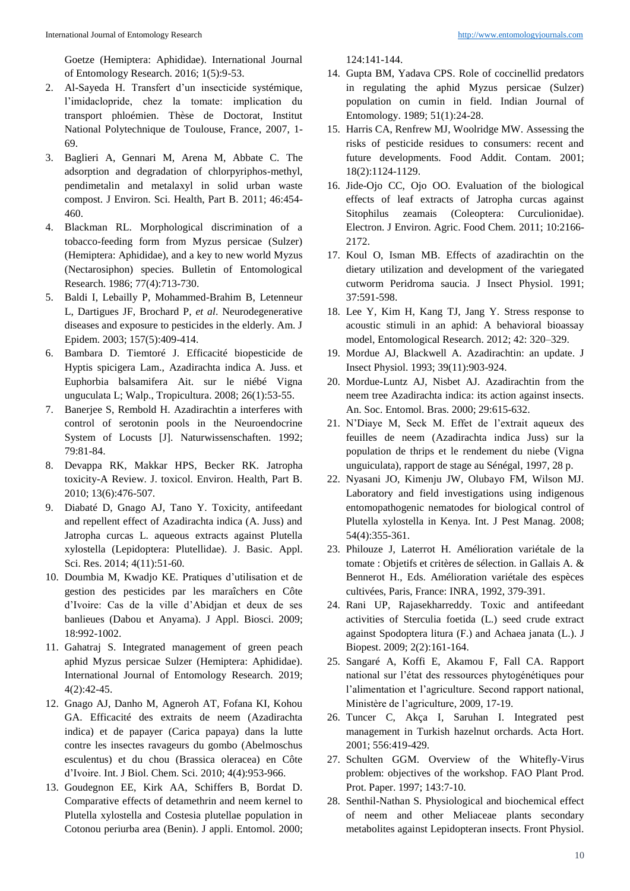Goetze (Hemiptera: Aphididae). International Journal of Entomology Research. 2016; 1(5):9-53.

- 2. Al-Sayeda H. Transfert d'un insecticide systémique, l'imidaclopride, chez la tomate: implication du transport phloémien. Thèse de Doctorat, Institut National Polytechnique de Toulouse, France, 2007, 1- 69.
- 3. Baglieri A, Gennari M, Arena M, Abbate C. The adsorption and degradation of chlorpyriphos-methyl, pendimetalin and metalaxyl in solid urban waste compost. J Environ. Sci. Health, Part B. 2011; 46:454- 460.
- 4. Blackman RL. Morphological discrimination of a tobacco-feeding form from Myzus persicae (Sulzer) (Hemiptera: Aphididae), and a key to new world Myzus (Nectarosiphon) species. Bulletin of Entomological Research. 1986; 77(4):713-730.
- 5. Baldi I, Lebailly P, Mohammed-Brahim B, Letenneur L, Dartigues JF, Brochard P, *et al*. Neurodegenerative diseases and exposure to pesticides in the elderly. Am. J Epidem. 2003; 157(5):409-414.
- 6. Bambara D. Tiemtoré J. Efficacité biopesticide de Hyptis spicigera Lam., Azadirachta indica A. Juss. et Euphorbia balsamifera Ait. sur le niébé Vigna unguculata L; Walp., Tropicultura. 2008; 26(1):53-55.
- 7. Banerjee S, Rembold H. Azadirachtin a interferes with control of serotonin pools in the Neuroendocrine System of Locusts [J]. Naturwissenschaften. 1992; 79:81-84.
- 8. Devappa RK, Makkar HPS, Becker RK. Jatropha toxicity-A Review. J. toxicol. Environ. Health, Part B. 2010; 13(6):476-507.
- 9. Diabaté D, Gnago AJ, Tano Y. Toxicity, antifeedant and repellent effect of Azadirachta indica (A. Juss) and Jatropha curcas L. aqueous extracts against Plutella xylostella (Lepidoptera: Plutellidae). J. Basic. Appl. Sci. Res. 2014; 4(11):51-60.
- 10. Doumbia M, Kwadjo KE. Pratiques d'utilisation et de gestion des pesticides par les maraîchers en Côte d'Ivoire: Cas de la ville d'Abidjan et deux de ses banlieues (Dabou et Anyama). J Appl. Biosci. 2009; 18:992-1002.
- 11. Gahatraj S. Integrated management of green peach aphid Myzus persicae Sulzer (Hemiptera: Aphididae). International Journal of Entomology Research. 2019; 4(2):42-45.
- 12. Gnago AJ, Danho M, Agneroh AT, Fofana KI, Kohou GA. Efficacité des extraits de neem (Azadirachta indica) et de papayer (Carica papaya) dans la lutte contre les insectes ravageurs du gombo (Abelmoschus esculentus) et du chou (Brassica oleracea) en Côte d'Ivoire. Int. J Biol. Chem. Sci. 2010; 4(4):953-966.
- 13. Goudegnon EE, Kirk AA, Schiffers B, Bordat D. Comparative effects of detamethrin and neem kernel to Plutella xylostella and Costesia plutellae population in Cotonou periurba area (Benin). J appli. Entomol. 2000;

124:141-144.

- 14. Gupta BM, Yadava CPS. Role of coccinellid predators in regulating the aphid Myzus persicae (Sulzer) population on cumin in field. Indian Journal of Entomology. 1989; 51(1):24-28.
- 15. Harris CA, Renfrew MJ, Woolridge MW. Assessing the risks of pesticide residues to consumers: recent and future developments. Food Addit. Contam. 2001; 18(2):1124-1129.
- 16. Jide-Ojo CC, Ojo OO. Evaluation of the biological effects of leaf extracts of Jatropha curcas against Sitophilus zeamais (Coleoptera: Curculionidae). Electron. J Environ. Agric. Food Chem. 2011; 10:2166- 2172.
- 17. Koul O, Isman MB. Effects of azadirachtin on the dietary utilization and development of the variegated cutworm Peridroma saucia. J Insect Physiol. 1991; 37:591-598.
- 18. Lee Y, Kim H, Kang TJ, Jang Y. Stress response to acoustic stimuli in an aphid: A behavioral bioassay model, Entomological Research. 2012; 42: 320–329.
- 19. Mordue AJ, Blackwell A. Azadirachtin: an update. J Insect Physiol. 1993; 39(11):903-924.
- 20. Mordue-Luntz AJ, Nisbet AJ. Azadirachtin from the neem tree Azadirachta indica: its action against insects. An. Soc. Entomol. Bras. 2000; 29:615-632.
- 21. N'Diaye M, Seck M. Effet de l'extrait aqueux des feuilles de neem (Azadirachta indica Juss) sur la population de thrips et le rendement du niebe (Vigna unguiculata), rapport de stage au Sénégal, 1997, 28 p.
- 22. Nyasani JO, Kimenju JW, Olubayo FM, Wilson MJ. Laboratory and field investigations using indigenous entomopathogenic nematodes for biological control of Plutella xylostella in Kenya. Int. J Pest Manag. 2008; 54(4):355-361.
- 23. Philouze J, Laterrot H. Amélioration variétale de la tomate : Objetifs et critères de sélection. in Gallais A. & Bennerot H., Eds. Amélioration variétale des espèces cultivées, Paris, France: INRA, 1992, 379-391.
- 24. Rani UP, Rajasekharreddy. Toxic and antifeedant activities of Sterculia foetida (L.) seed crude extract against Spodoptera litura (F.) and Achaea janata (L.). J Biopest. 2009; 2(2):161-164.
- 25. Sangaré A, Koffi E, Akamou F, Fall CA. Rapport national sur l'état des ressources phytogénétiques pour l'alimentation et l'agriculture. Second rapport national, Ministère de l'agriculture, 2009, 17-19.
- 26. Tuncer C, Akça I, Saruhan I. Integrated pest management in Turkish hazelnut orchards. Acta Hort. 2001; 556:419-429.
- 27. Schulten GGM. Overview of the Whitefly-Virus problem: objectives of the workshop. FAO Plant Prod. Prot. Paper. 1997; 143:7-10.
- 28. Senthil-Nathan S. Physiological and biochemical effect of neem and other Meliaceae plants secondary metabolites against Lepidopteran insects. Front Physiol.